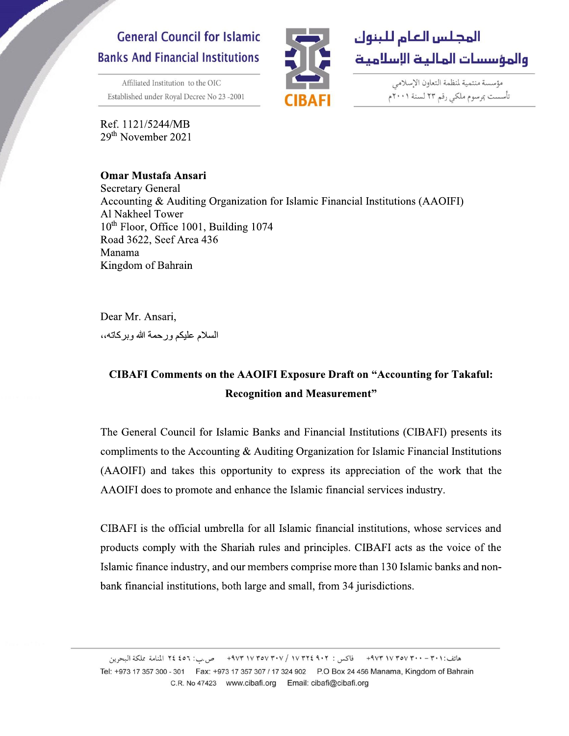## **General Council for Islamic Banks And Financial Institutions**

Ref. 1121/5244/MB 29<sup>th</sup> November 2021

r.

۳



مؤسسة منتمية لمنظمة التعاون الإسلامي تأسست بمرسوم ملكى رقم ٢٣ لسنة ٢٠٠١م

**Omar Mustafa Ansari**<br>Secretary General Affiliated Institution to the OIC<br>
Established under Royal Decree No 23 -2001<br>
Ref. 1121/5244/MB<br>
29<sup>th</sup> November 2021<br> **Omar Mustafa Ansari**<br>
Secretary General<br>
Accounting & Auditing Organizati<br>
Al Nakheel Tower<br>
10<sup>th</sup> F Accounting & Auditing Organization for Islamic Financial Institutions (AAOIFI) Al Nakheel Tower  $10<sup>th</sup>$  Floor, Office 1001, Building 1074 Road 3622, Seef Area 436 Manama Kingdom of Bahrain

> Dear Mr. Ansari, السلام عليكم ورحمة الله وبركاته،،

## CIBAFI Comments on the AAOIFI Exposure Draft on "Accounting for Takaful: Recognition and Measurement"

Manama<br>Kingdom of Bahrain<br>Dear Mr. Ansari,<br>السلام عليكم ورحمة الله وبركاته،،<br>**CIBAFI Comments on the A4**<br>Reco<br>The General Council for Islamic<br>compliments to the Accounting &<br>(AAOUE) and takes this agract السلام عليكم ورحمة الله وبركاته،<br>
8' CIBAFI Comments on the AAOIFI Exposure Draft on "Accounting for Takaful:<br>
8' Recognition and Measurement"<br>
7' The General Council for Islamic Banks and Financial Institutions (CIBAFI) compliments to the Accounting  $&$  Auditing Organization for Islamic Financial Institutions (AAOIFI) and takes this opportunity to express its appreciation of the work that the AAOIFI does to promote and enhance the Islamic financial services industry.

CIBAFI is the official umbrella for all Islamic financial institutions, whose services and products comply with the Shariah rules and principles. CIBAFI acts as the voice of the Islamic finance industry, and our members comprise more than 130 Islamic banks and nonbank financial institutions, both large and small, from 34 jurisdictions.

هاتف:٢٠١ - ٢٠٠ ٣٧٧ ٣٧٧ ٩٧٣ - فاكس : ٢٠٢ ٩٠٢ ٣٥٧ ٣٧٧ ٩٧٣ - ص س: ٤٥٦ ٢٤ المنامة مملكة البحرين Tel: +973 17 357 300 - 301 Fax: +973 17 357 307 / 17 324 902 P.O Box 24 456 Manama, Kingdom of Bahrain C.R. No 47423 www.cibafi.org Email: cibafi@cibafi.org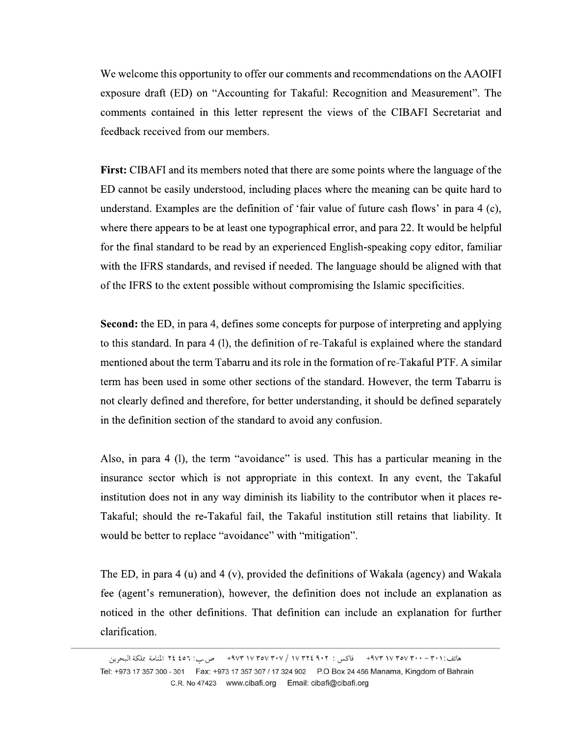We welcome this opportunity to offer our comments and recommendations on the AAOIFI exposure draft (ED) on "Accounting for Takaful: Recognition and Measurement". The comments contained in this letter represent the views of the CIBAFI Secretariat and feedback received from our members.

**First:** CIBAFI and its members noted that there are some points where the language of the ED cannot be easily understood, including places where the meaning can be quite hard to understand. Examples are the definition of 'fair value of future cash flows' in para 4 (c), where there appears to be at least one typographical error, and para 22. It would be helpful for the final standard to be read by an experienced English-speaking copy editor, familiar with the IFRS standards, and revised if needed. The language should be aligned with that of the IFRS to the extent possible without compromising the Islamic specificities.

**Second:** the ED, in para 4, defines some concepts for purpose of interpreting and applying to this standard. In para 4 (1), the definition of re-Takaful is explained where the standard mentioned about the term Tabarru and its role in the formation of re-Takaful PTF. A similar term has been used in some other sections of the standard. However, the term Tabarru is not clearly defined and therefore, for better understanding, it should be defined separately in the definition section of the standard to avoid any confusion.

Also, in para 4 (l), the term "avoidance" is used. This has a particular meaning in the insurance sector which is not appropriate in this context. In any event, the Takaful institution does not in any way diminish its liability to the contributor when it places re-Takaful; should the re-Takaful fail, the Takaful institution still retains that liability. It would be better to replace "avoidance" with "mitigation".

The ED, in para 4 (u) and 4 (v), provided the definitions of Wakala (agency) and Wakala fee (agent's remuneration), however, the definition does not include an explanation as noticed in the other definitions. That definition can include an explanation for further clarification.